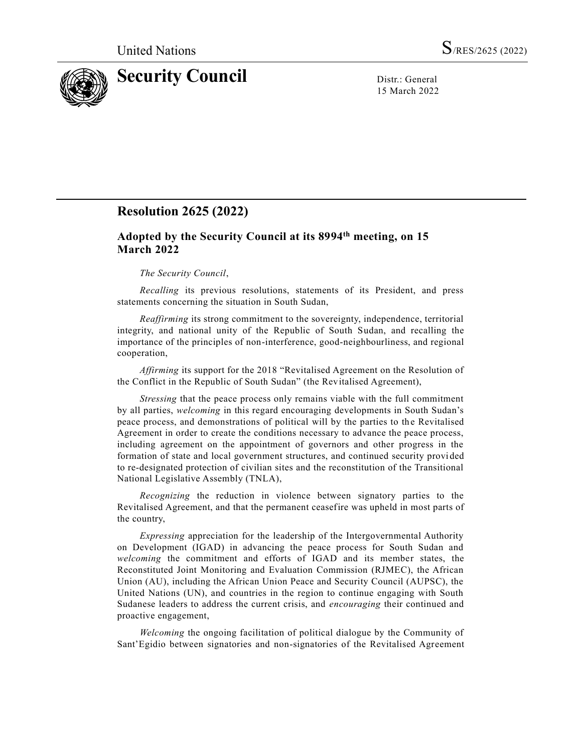

15 March 2022

# **Resolution 2625 (2022)**

## **Adopted by the Security Council at its 8994 th meeting, on 15 March 2022**

## *The Security Council*,

*Recalling* its previous resolutions, statements of its President, and press statements concerning the situation in South Sudan,

*Reaffirming* its strong commitment to the sovereignty, independence, territorial integrity, and national unity of the Republic of South Sudan, and recalling the importance of the principles of non-interference, good-neighbourliness, and regional cooperation,

*Affirming* its support for the 2018 "Revitalised Agreement on the Resolution of the Conflict in the Republic of South Sudan" (the Revitalised Agreement),

*Stressing* that the peace process only remains viable with the full commitment by all parties, *welcoming* in this regard encouraging developments in South Sudan's peace process, and demonstrations of political will by the parties to the Revitalised Agreement in order to create the conditions necessary to advance the peace process, including agreement on the appointment of governors and other progress in the formation of state and local government structures, and continued security provi ded to re-designated protection of civilian sites and the reconstitution of the Transitional National Legislative Assembly (TNLA),

*Recognizing* the reduction in violence between signatory parties to the Revitalised Agreement, and that the permanent ceasefire was upheld in most parts of the country,

*Expressing* appreciation for the leadership of the Intergovernmental Authority on Development (IGAD) in advancing the peace process for South Sudan and *welcoming* the commitment and efforts of IGAD and its member states, the Reconstituted Joint Monitoring and Evaluation Commission (RJMEC), the African Union (AU), including the African Union Peace and Security Council (AUPSC), the United Nations (UN), and countries in the region to continue engaging with South Sudanese leaders to address the current crisis, and *encouraging* their continued and proactive engagement,

*Welcoming* the ongoing facilitation of political dialogue by the Community of Sant'Egidio between signatories and non-signatories of the Revitalised Agreement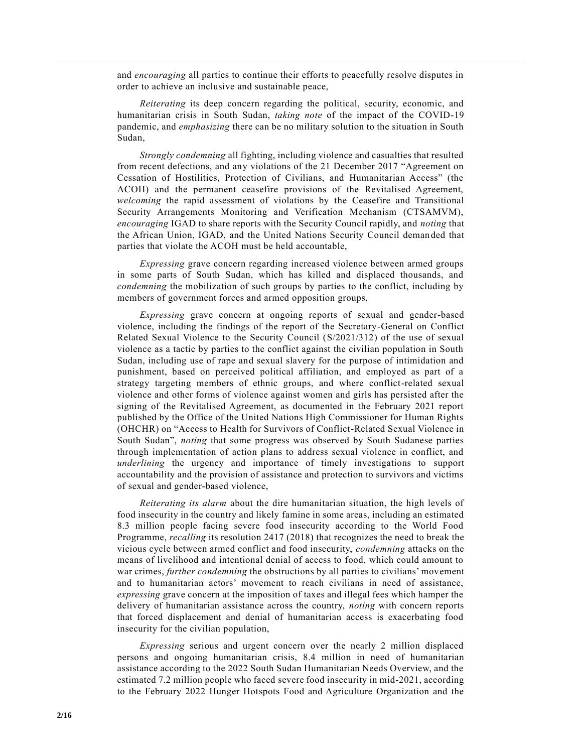and *encouraging* all parties to continue their efforts to peacefully resolve disputes in order to achieve an inclusive and sustainable peace,

*Reiterating* its deep concern regarding the political, security, economic, and humanitarian crisis in South Sudan, *taking note* of the impact of the COVID-19 pandemic, and *emphasizing* there can be no military solution to the situation in South Sudan,

*Strongly condemning* all fighting, including violence and casualties that resulted from recent defections, and any violations of the 21 December 2017 "Agreement on Cessation of Hostilities, Protection of Civilians, and Humanitarian Access" (the ACOH) and the permanent ceasefire provisions of the Revitalised Agreement, *welcoming* the rapid assessment of violations by the Ceasefire and Transitional Security Arrangements Monitoring and Verification Mechanism (CTSAMVM), *encouraging* IGAD to share reports with the Security Council rapidly, and *noting* that the African Union, IGAD, and the United Nations Security Council deman ded that parties that violate the ACOH must be held accountable,

*Expressing* grave concern regarding increased violence between armed groups in some parts of South Sudan, which has killed and displaced thousands, and *condemning* the mobilization of such groups by parties to the conflict, including by members of government forces and armed opposition groups,

*Expressing* grave concern at ongoing reports of sexual and gender-based violence, including the findings of the report of the Secretary-General on Conflict Related Sexual Violence to the Security Council [\(S/2021/312\)](https://undocs.org/en/S/2021/312) of the use of sexual violence as a tactic by parties to the conflict against the civilian population in South Sudan, including use of rape and sexual slavery for the purpose of intimidation and punishment, based on perceived political affiliation, and employed as part of a strategy targeting members of ethnic groups, and where conflict-related sexual violence and other forms of violence against women and girls has persisted after the signing of the Revitalised Agreement, as documented in the February 2021 report published by the Office of the United Nations High Commissioner for Human Rights (OHCHR) on "Access to Health for Survivors of Conflict-Related Sexual Violence in South Sudan", *noting* that some progress was observed by South Sudanese parties through implementation of action plans to address sexual violence in conflict, and *underlining* the urgency and importance of timely investigations to support accountability and the provision of assistance and protection to survivors and victims of sexual and gender-based violence,

*Reiterating its alarm* about the dire humanitarian situation, the high levels of food insecurity in the country and likely famine in some areas, including an estimated 8.3 million people facing severe food insecurity according to the World Food Programme, *recalling* its resolution [2417 \(2018\)](https://undocs.org/en/S/RES/2417(2018)) that recognizes the need to break the vicious cycle between armed conflict and food insecurity, *condemning* attacks on the means of livelihood and intentional denial of access to food, which could amount to war crimes, *further condemning* the obstructions by all parties to civilians' movement and to humanitarian actors' movement to reach civilians in need of assistance, *expressing* grave concern at the imposition of taxes and illegal fees which hamper the delivery of humanitarian assistance across the country, *noting* with concern reports that forced displacement and denial of humanitarian access is exacerbating food insecurity for the civilian population,

*Expressing* serious and urgent concern over the nearly 2 million displaced persons and ongoing humanitarian crisis, 8.4 million in need of humanitarian assistance according to the 2022 South Sudan Humanitarian Needs Overview, and the estimated 7.2 million people who faced severe food insecurity in mid-2021, according to the February 2022 Hunger Hotspots Food and Agriculture Organization and the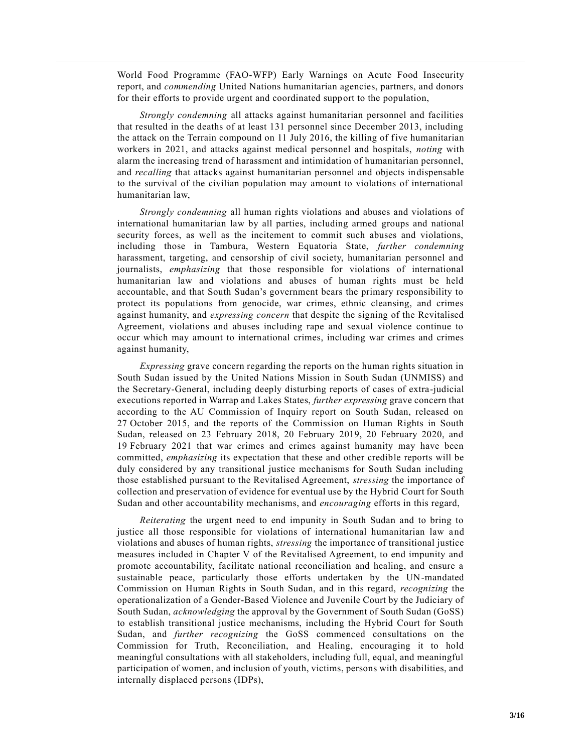World Food Programme (FAO-WFP) Early Warnings on Acute Food Insecurity report, and *commending* United Nations humanitarian agencies, partners, and donors for their efforts to provide urgent and coordinated support to the population,

*Strongly condemning* all attacks against humanitarian personnel and facilities that resulted in the deaths of at least 131 personnel since December 2013, including the attack on the Terrain compound on 11 July 2016, the killing of five humanitarian workers in 2021, and attacks against medical personnel and hospitals, *noting* with alarm the increasing trend of harassment and intimidation of humanitarian personnel, and *recalling* that attacks against humanitarian personnel and objects indispensable to the survival of the civilian population may amount to violations of international humanitarian law,

*Strongly condemning* all human rights violations and abuses and violations of international humanitarian law by all parties, including armed groups and national security forces, as well as the incitement to commit such abuses and violations, including those in Tambura, Western Equatoria State, *further condemning* harassment, targeting, and censorship of civil society, humanitarian personnel and journalists, *emphasizing* that those responsible for violations of international humanitarian law and violations and abuses of human rights must be held accountable, and that South Sudan's government bears the primary responsibility to protect its populations from genocide, war crimes, ethnic cleansing, and crimes against humanity, and *expressing concern* that despite the signing of the Revitalised Agreement, violations and abuses including rape and sexual violence continue to occur which may amount to international crimes, including war crimes and crimes against humanity,

*Expressing* grave concern regarding the reports on the human rights situation in South Sudan issued by the United Nations Mission in South Sudan (UNMISS) and the Secretary-General, including deeply disturbing reports of cases of extra-judicial executions reported in Warrap and Lakes States, *further expressing* grave concern that according to the AU Commission of Inquiry report on South Sudan, released on 27 October 2015, and the reports of the Commission on Human Rights in South Sudan, released on 23 February 2018, 20 February 2019, 20 February 2020, and 19 February 2021 that war crimes and crimes against humanity may have been committed, *emphasizing* its expectation that these and other credible reports will be duly considered by any transitional justice mechanisms for South Sudan including those established pursuant to the Revitalised Agreement, *stressing* the importance of collection and preservation of evidence for eventual use by the Hybrid Court for South Sudan and other accountability mechanisms, and *encouraging* efforts in this regard,

*Reiterating* the urgent need to end impunity in South Sudan and to bring to justice all those responsible for violations of international humanitarian law and violations and abuses of human rights, *stressing* the importance of transitional justice measures included in Chapter V of the Revitalised Agreement, to end impunity and promote accountability, facilitate national reconciliation and healing, and ensure a sustainable peace, particularly those efforts undertaken by the UN-mandated Commission on Human Rights in South Sudan, and in this regard, *recognizing* the operationalization of a Gender-Based Violence and Juvenile Court by the Judiciary of South Sudan, *acknowledging* the approval by the Government of South Sudan (GoSS) to establish transitional justice mechanisms, including the Hybrid Court for South Sudan, and *further recognizing* the GoSS commenced consultations on the Commission for Truth, Reconciliation, and Healing, encouraging it to hold meaningful consultations with all stakeholders, including full, equal, and meaningful participation of women, and inclusion of youth, victims, persons with disabilities, and internally displaced persons (IDPs),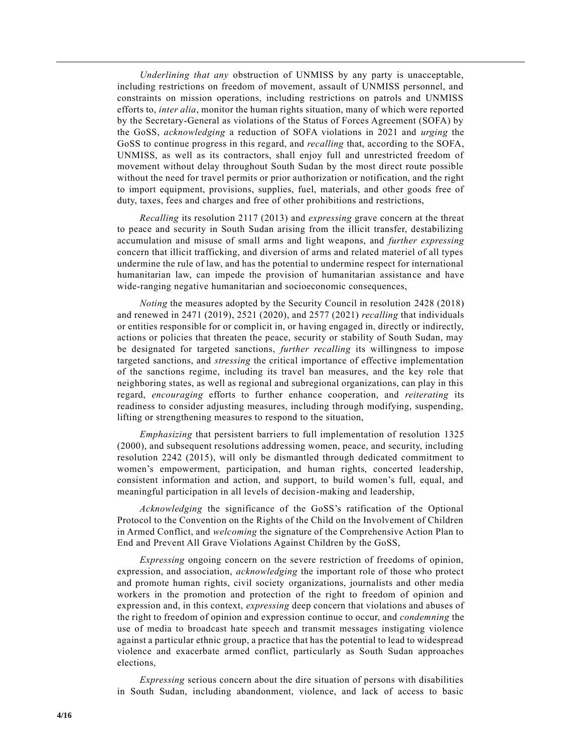*Underlining that any* obstruction of UNMISS by any party is unacceptable, including restrictions on freedom of movement, assault of UNMISS personnel, and constraints on mission operations, including restrictions on patrols and UNMISS efforts to, *inter alia*, monitor the human rights situation, many of which were reported by the Secretary-General as violations of the Status of Forces Agreement (SOFA) by the GoSS, *acknowledging* a reduction of SOFA violations in 2021 and *urging* the GoSS to continue progress in this regard, and *recalling* that, according to the SOFA, UNMISS, as well as its contractors, shall enjoy full and unrestricted freedom of movement without delay throughout South Sudan by the most direct route possible without the need for travel permits or prior authorization or notification, and the right to import equipment, provisions, supplies, fuel, materials, and other goods free of duty, taxes, fees and charges and free of other prohibitions and restrictions,

*Recalling* its resolution [2117 \(2013\)](https://undocs.org/en/S/RES/2117(2013)) and *expressing* grave concern at the threat to peace and security in South Sudan arising from the illicit transfer, destabilizing accumulation and misuse of small arms and light weapons, and *further expressing* concern that illicit trafficking, and diversion of arms and related materiel of all types undermine the rule of law, and has the potential to undermine respect for international humanitarian law, can impede the provision of humanitarian assistance and have wide-ranging negative humanitarian and socioeconomic consequences,

*Noting* the measures adopted by the Security Council in resolution [2428 \(2018\)](https://undocs.org/en/S/RES/2428(2018)) and renewed in [2471 \(2019\),](https://undocs.org/en/S/RES/2471(2019)) [2521 \(2020\),](https://undocs.org/en/S/RES/2521(2020)) and [2577 \(2021\)](https://undocs.org/en/S/RES/2577(2021)) *recalling* that individuals or entities responsible for or complicit in, or having engaged in, directly or indirectly, actions or policies that threaten the peace, security or stability of South Sudan, may be designated for targeted sanctions, *further recalling* its willingness to impose targeted sanctions, and *stressing* the critical importance of effective implementation of the sanctions regime, including its travel ban measures, and the key role that neighboring states, as well as regional and subregional organizations, can play in this regard, *encouraging* efforts to further enhance cooperation, and *reiterating* its readiness to consider adjusting measures, including through modifying, suspending, lifting or strengthening measures to respond to the situation,

*Emphasizing* that persistent barriers to full implementation of resolution [1325](https://undocs.org/en/S/RES/1325(2000))  [\(2000\),](https://undocs.org/en/S/RES/1325(2000)) and subsequent resolutions addressing women, peace, and security, including resolution [2242 \(2015\),](https://undocs.org/en/S/RES/2242(2015)) will only be dismantled through dedicated commitment to women's empowerment, participation, and human rights, concerted leadership, consistent information and action, and support, to build women's full, equal, and meaningful participation in all levels of decision-making and leadership,

*Acknowledging* the significance of the GoSS's ratification of the Optional Protocol to the Convention on the Rights of the Child on the Involvement of Children in Armed Conflict, and *welcoming* the signature of the Comprehensive Action Plan to End and Prevent All Grave Violations Against Children by the GoSS,

*Expressing* ongoing concern on the severe restriction of freedoms of opinion, expression, and association, *acknowledging* the important role of those who protect and promote human rights, civil society organizations, journalists and other media workers in the promotion and protection of the right to freedom of opinion and expression and, in this context, *expressing* deep concern that violations and abuses of the right to freedom of opinion and expression continue to occur, and *condemning* the use of media to broadcast hate speech and transmit messages instigating violence against a particular ethnic group, a practice that has the potential to lead to widespread violence and exacerbate armed conflict, particularly as South Sudan approaches elections,

*Expressing* serious concern about the dire situation of persons with disabilities in South Sudan, including abandonment, violence, and lack of access to basic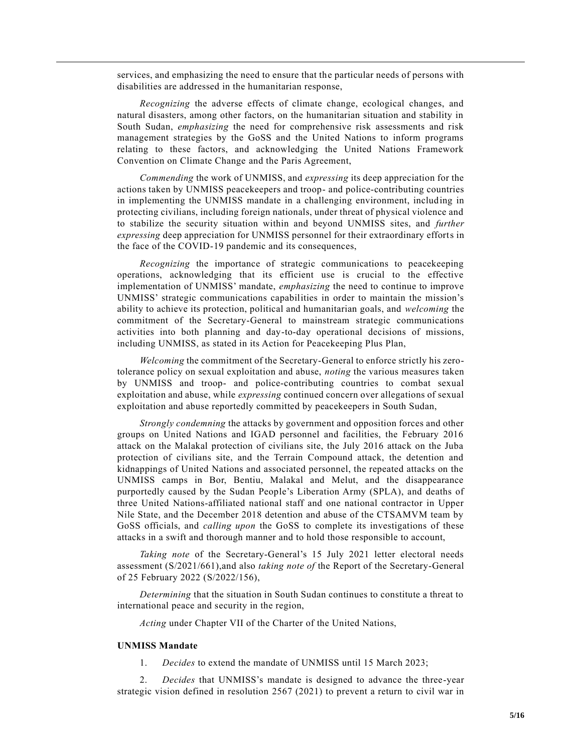services, and emphasizing the need to ensure that the particular needs of persons with disabilities are addressed in the humanitarian response,

*Recognizing* the adverse effects of climate change, ecological changes, and natural disasters, among other factors, on the humanitarian situation and stability in South Sudan, *emphasizing* the need for comprehensive risk assessments and risk management strategies by the GoSS and the United Nations to inform programs relating to these factors, and acknowledging the United Nations Framework Convention on Climate Change and the Paris Agreement,

*Commending* the work of UNMISS, and *expressing* its deep appreciation for the actions taken by UNMISS peacekeepers and troop- and police-contributing countries in implementing the UNMISS mandate in a challenging environment, including in protecting civilians, including foreign nationals, under threat of physical violence and to stabilize the security situation within and beyond UNMISS sites, and *further expressing* deep appreciation for UNMISS personnel for their extraordinary efforts in the face of the COVID-19 pandemic and its consequences,

*Recognizing* the importance of strategic communications to peacekeeping operations, acknowledging that its efficient use is crucial to the effective implementation of UNMISS' mandate, *emphasizing* the need to continue to improve UNMISS' strategic communications capabilities in order to maintain the mission's ability to achieve its protection, political and humanitarian goals, and *welcoming* the commitment of the Secretary-General to mainstream strategic communications activities into both planning and day-to-day operational decisions of missions, including UNMISS, as stated in its Action for Peacekeeping Plus Plan,

*Welcoming* the commitment of the Secretary-General to enforce strictly his zerotolerance policy on sexual exploitation and abuse, *noting* the various measures taken by UNMISS and troop- and police-contributing countries to combat sexual exploitation and abuse, while *expressing* continued concern over allegations of sexual exploitation and abuse reportedly committed by peacekeepers in South Sudan,

*Strongly condemning* the attacks by government and opposition forces and other groups on United Nations and IGAD personnel and facilities, the February 2016 attack on the Malakal protection of civilians site, the July 2016 attack on the Juba protection of civilians site, and the Terrain Compound attack, the detention and kidnappings of United Nations and associated personnel, the repeated attacks on the UNMISS camps in Bor, Bentiu, Malakal and Melut, and the disappearance purportedly caused by the Sudan People's Liberation Army (SPLA), and deaths of three United Nations-affiliated national staff and one national contractor in Upper Nile State, and the December 2018 detention and abuse of the CTSAMVM team by GoSS officials, and *calling upon* the GoSS to complete its investigations of these attacks in a swift and thorough manner and to hold those responsible to account,

*Taking note* of the Secretary-General's 15 July 2021 letter electoral needs assessment [\(S/2021/661\)](https://undocs.org/en/S/2021/661),and also *taking note of* the Report of the Secretary-General of 25 February 2022 [\(S/2022/156\)](https://undocs.org/en/S/2022/156),

*Determining* that the situation in South Sudan continues to constitute a threat to international peace and security in the region,

*Acting* under Chapter VII of the Charter of the United Nations,

#### **UNMISS Mandate**

1. *Decides* to extend the mandate of UNMISS until 15 March 2023;

2. *Decides* that UNMISS's mandate is designed to advance the three-year strategic vision defined in resolution [2567 \(2021\)](https://undocs.org/en/S/RES/2567(2021)) to prevent a return to civil war in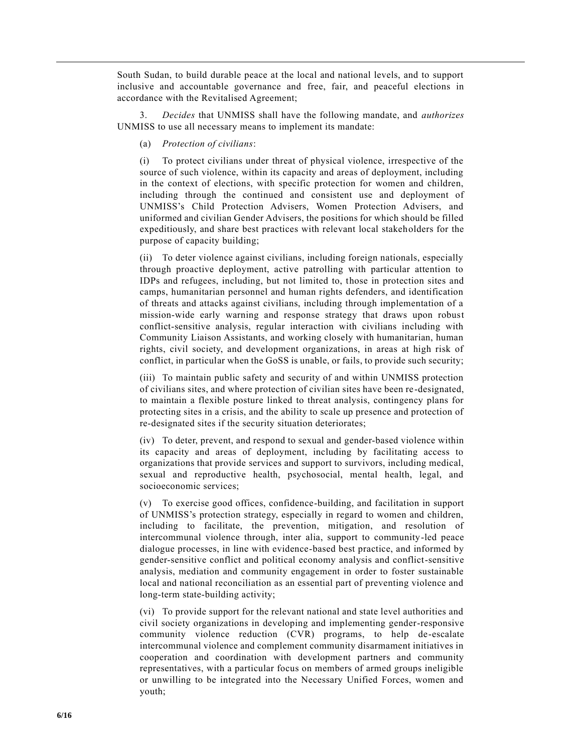South Sudan, to build durable peace at the local and national levels, and to support inclusive and accountable governance and free, fair, and peaceful elections in accordance with the Revitalised Agreement;

3. *Decides* that UNMISS shall have the following mandate, and *authorizes* UNMISS to use all necessary means to implement its mandate:

(a) *Protection of civilians*:

(i) To protect civilians under threat of physical violence, irrespective of the source of such violence, within its capacity and areas of deployment, including in the context of elections, with specific protection for women and children, including through the continued and consistent use and deployment of UNMISS's Child Protection Advisers, Women Protection Advisers, and uniformed and civilian Gender Advisers, the positions for which should be filled expeditiously, and share best practices with relevant local stakeholders for the purpose of capacity building;

(ii) To deter violence against civilians, including foreign nationals, especially through proactive deployment, active patrolling with particular attention to IDPs and refugees, including, but not limited to, those in protection sites and camps, humanitarian personnel and human rights defenders, and identification of threats and attacks against civilians, including through implementation of a mission-wide early warning and response strategy that draws upon robust conflict-sensitive analysis, regular interaction with civilians including with Community Liaison Assistants, and working closely with humanitarian, human rights, civil society, and development organizations, in areas at high risk of conflict, in particular when the GoSS is unable, or fails, to provide such security;

(iii) To maintain public safety and security of and within UNMISS protection of civilians sites, and where protection of civilian sites have been re-designated, to maintain a flexible posture linked to threat analysis, contingency plans for protecting sites in a crisis, and the ability to scale up presence and protection of re-designated sites if the security situation deteriorates;

(iv) To deter, prevent, and respond to sexual and gender-based violence within its capacity and areas of deployment, including by facilitating access to organizations that provide services and support to survivors, including medical, sexual and reproductive health, psychosocial, mental health, legal, and socioeconomic services;

(v) To exercise good offices, confidence-building, and facilitation in support of UNMISS's protection strategy, especially in regard to women and children, including to facilitate, the prevention, mitigation, and resolution of intercommunal violence through, inter alia, support to community-led peace dialogue processes, in line with evidence-based best practice, and informed by gender-sensitive conflict and political economy analysis and conflict-sensitive analysis, mediation and community engagement in order to foster sustainable local and national reconciliation as an essential part of preventing violence and long-term state-building activity;

(vi) To provide support for the relevant national and state level authorities and civil society organizations in developing and implementing gender-responsive community violence reduction (CVR) programs, to help de-escalate intercommunal violence and complement community disarmament initiatives in cooperation and coordination with development partners and community representatives, with a particular focus on members of armed groups ineligible or unwilling to be integrated into the Necessary Unified Forces, women and youth;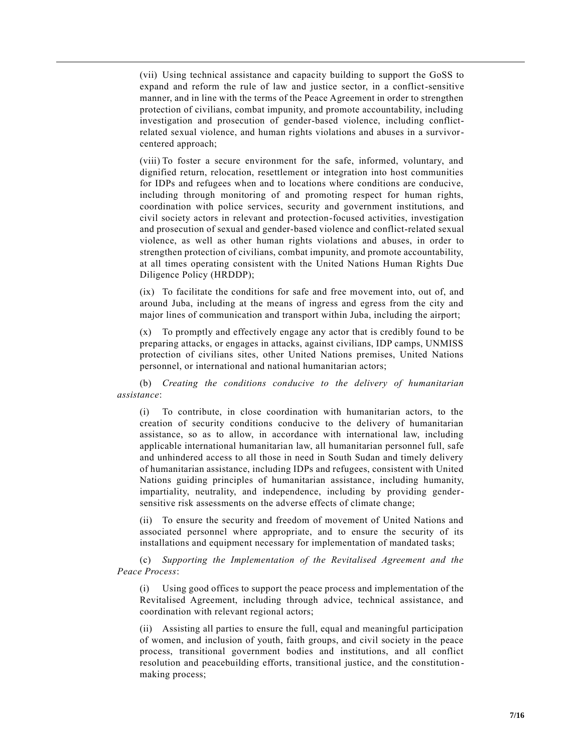(vii) Using technical assistance and capacity building to support the GoSS to expand and reform the rule of law and justice sector, in a conflict-sensitive manner, and in line with the terms of the Peace Agreement in order to strengthen protection of civilians, combat impunity, and promote accountability, including investigation and prosecution of gender-based violence, including conflictrelated sexual violence, and human rights violations and abuses in a survivorcentered approach;

(viii) To foster a secure environment for the safe, informed, voluntary, and dignified return, relocation, resettlement or integration into host communities for IDPs and refugees when and to locations where conditions are conducive, including through monitoring of and promoting respect for human rights, coordination with police services, security and government institutions, and civil society actors in relevant and protection-focused activities, investigation and prosecution of sexual and gender-based violence and conflict-related sexual violence, as well as other human rights violations and abuses, in order to strengthen protection of civilians, combat impunity, and promote accountability, at all times operating consistent with the United Nations Human Rights Due Diligence Policy (HRDDP);

(ix) To facilitate the conditions for safe and free movement into, out of, and around Juba, including at the means of ingress and egress from the city and major lines of communication and transport within Juba, including the airport;

(x) To promptly and effectively engage any actor that is credibly found to be preparing attacks, or engages in attacks, against civilians, IDP camps, UNMISS protection of civilians sites, other United Nations premises, United Nations personnel, or international and national humanitarian actors;

(b) *Creating the conditions conducive to the delivery of humanitarian assistance*:

(i) To contribute, in close coordination with humanitarian actors, to the creation of security conditions conducive to the delivery of humanitarian assistance, so as to allow, in accordance with international law, including applicable international humanitarian law, all humanitarian personnel full, safe and unhindered access to all those in need in South Sudan and timely delivery of humanitarian assistance, including IDPs and refugees, consistent with United Nations guiding principles of humanitarian assistance, including humanity, impartiality, neutrality, and independence, including by providing gendersensitive risk assessments on the adverse effects of climate change;

(ii) To ensure the security and freedom of movement of United Nations and associated personnel where appropriate, and to ensure the security of its installations and equipment necessary for implementation of mandated tasks;

(c) *Supporting the Implementation of the Revitalised Agreement and the Peace Process*:

(i) Using good offices to support the peace process and implementation of the Revitalised Agreement, including through advice, technical assistance, and coordination with relevant regional actors;

(ii) Assisting all parties to ensure the full, equal and meaningful participation of women, and inclusion of youth, faith groups, and civil society in the peace process, transitional government bodies and institutions, and all conflict resolution and peacebuilding efforts, transitional justice, and the constitution making process;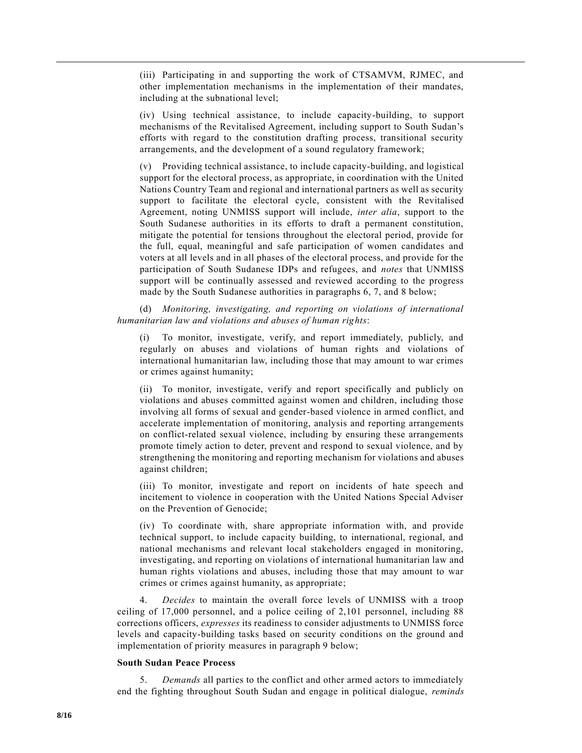(iii) Participating in and supporting the work of CTSAMVM, RJMEC, and other implementation mechanisms in the implementation of their mandates, including at the subnational level;

(iv) Using technical assistance, to include capacity-building, to support mechanisms of the Revitalised Agreement, including support to South Sudan's efforts with regard to the constitution drafting process, transitional security arrangements, and the development of a sound regulatory framework;

(v) Providing technical assistance, to include capacity-building, and logistical support for the electoral process, as appropriate, in coordination with the United Nations Country Team and regional and international partners as well as security support to facilitate the electoral cycle, consistent with the Revitalised Agreement, noting UNMISS support will include, *inter alia*, support to the South Sudanese authorities in its efforts to draft a permanent constitution, mitigate the potential for tensions throughout the electoral period, provide for the full, equal, meaningful and safe participation of women candidates and voters at all levels and in all phases of the electoral process, and provide for the participation of South Sudanese IDPs and refugees, and *notes* that UNMISS support will be continually assessed and reviewed according to the progress made by the South Sudanese authorities in paragraphs 6, 7, and 8 below;

(d) *Monitoring, investigating, and reporting on violations of international humanitarian law and violations and abuses of human rights*:

(i) To monitor, investigate, verify, and report immediately, publicly, and regularly on abuses and violations of human rights and violations of international humanitarian law, including those that may amount to war crimes or crimes against humanity;

(ii) To monitor, investigate, verify and report specifically and publicly on violations and abuses committed against women and children, including those involving all forms of sexual and gender-based violence in armed conflict, and accelerate implementation of monitoring, analysis and reporting arrangements on conflict-related sexual violence, including by ensuring these arrangements promote timely action to deter, prevent and respond to sexual violence, and by strengthening the monitoring and reporting mechanism for violations and abuses against children;

(iii) To monitor, investigate and report on incidents of hate speech and incitement to violence in cooperation with the United Nations Special Adviser on the Prevention of Genocide;

(iv) To coordinate with, share appropriate information with, and provide technical support, to include capacity building, to international, regional, and national mechanisms and relevant local stakeholders engaged in monitoring, investigating, and reporting on violations of international humanitarian law and human rights violations and abuses, including those that may amount to war crimes or crimes against humanity, as appropriate;

4. *Decides* to maintain the overall force levels of UNMISS with a troop ceiling of 17,000 personnel, and a police ceiling of 2,101 personnel, including 88 corrections officers, *expresses* its readiness to consider adjustments to UNMISS force levels and capacity-building tasks based on security conditions on the ground and implementation of priority measures in paragraph 9 below;

## **South Sudan Peace Process**

5. *Demands* all parties to the conflict and other armed actors to immediately end the fighting throughout South Sudan and engage in political dialogue, *reminds*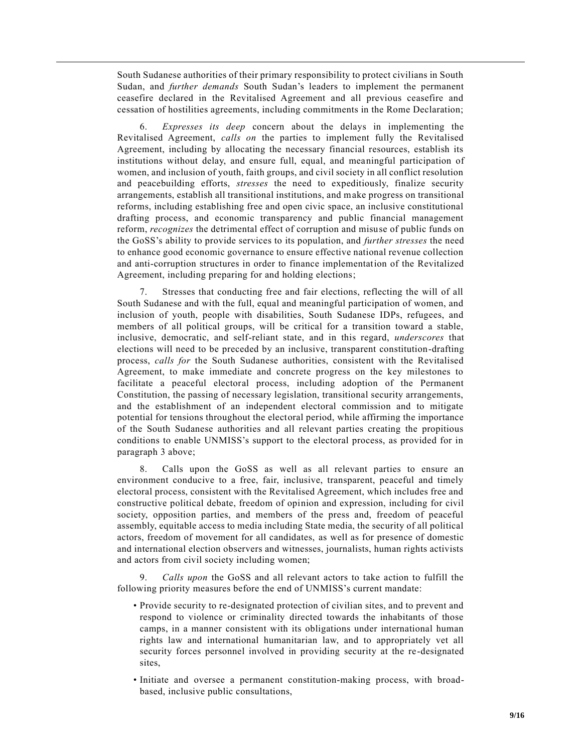South Sudanese authorities of their primary responsibility to protect civilians in South Sudan, and *further demands* South Sudan's leaders to implement the permanent ceasefire declared in the Revitalised Agreement and all previous ceasefire and cessation of hostilities agreements, including commitments in the Rome Declaration;

6. *Expresses its deep* concern about the delays in implementing the Revitalised Agreement, *calls on* the parties to implement fully the Revitalised Agreement, including by allocating the necessary financial resources, establish its institutions without delay, and ensure full, equal, and meaningful participation of women, and inclusion of youth, faith groups, and civil society in all conflict resolution and peacebuilding efforts, *stresses* the need to expeditiously, finalize security arrangements, establish all transitional institutions, and make progress on transitional reforms, including establishing free and open civic space, an inclusive constitutional drafting process, and economic transparency and public financial management reform, *recognizes* the detrimental effect of corruption and misuse of public funds on the GoSS's ability to provide services to its population, and *further stresses* the need to enhance good economic governance to ensure effective national revenue collection and anti-corruption structures in order to finance implementation of the Revitalized Agreement, including preparing for and holding elections;

7. Stresses that conducting free and fair elections, reflecting the will of all South Sudanese and with the full, equal and meaningful participation of women, and inclusion of youth, people with disabilities, South Sudanese IDPs, refugees, and members of all political groups, will be critical for a transition toward a stable, inclusive, democratic, and self-reliant state, and in this regard, *underscores* that elections will need to be preceded by an inclusive, transparent constitution-drafting process, *calls for* the South Sudanese authorities, consistent with the Revitalised Agreement, to make immediate and concrete progress on the key milestones to facilitate a peaceful electoral process, including adoption of the Permanent Constitution, the passing of necessary legislation, transitional security arrangements, and the establishment of an independent electoral commission and to mitigate potential for tensions throughout the electoral period, while affirming the importance of the South Sudanese authorities and all relevant parties creating the propitious conditions to enable UNMISS's support to the electoral process, as provided for in paragraph 3 above;

8. Calls upon the GoSS as well as all relevant parties to ensure an environment conducive to a free, fair, inclusive, transparent, peaceful and timely electoral process, consistent with the Revitalised Agreement, which includes free and constructive political debate, freedom of opinion and expression, including for civil society, opposition parties, and members of the press and, freedom of peaceful assembly, equitable access to media including State media, the security of all political actors, freedom of movement for all candidates, as well as for presence of domestic and international election observers and witnesses, journalists, human rights activists and actors from civil society including women;

9. *Calls upon* the GoSS and all relevant actors to take action to fulfill the following priority measures before the end of UNMISS's current mandate:

- Provide security to re-designated protection of civilian sites, and to prevent and respond to violence or criminality directed towards the inhabitants of those camps, in a manner consistent with its obligations under international human rights law and international humanitarian law, and to appropriately vet all security forces personnel involved in providing security at the re -designated sites,
- Initiate and oversee a permanent constitution-making process, with broadbased, inclusive public consultations,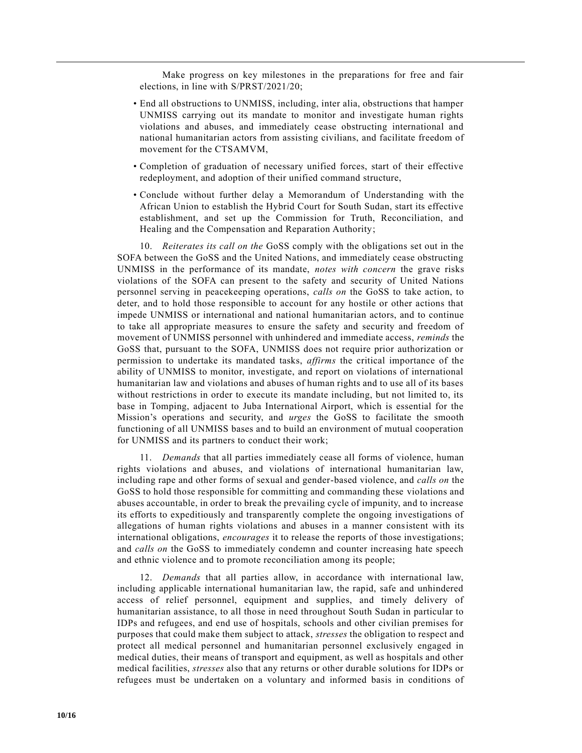Make progress on key milestones in the preparations for free and fair elections, in line with [S/PRST/2021/20;](https://undocs.org/en/S/PRST/2021/20)

- End all obstructions to UNMISS, including, inter alia, obstructions that hamper UNMISS carrying out its mandate to monitor and investigate human rights violations and abuses, and immediately cease obstructing international and national humanitarian actors from assisting civilians, and facilitate freedom of movement for the CTSAMVM,
- Completion of graduation of necessary unified forces, start of their effective redeployment, and adoption of their unified command structure,
- Conclude without further delay a Memorandum of Understanding with the African Union to establish the Hybrid Court for South Sudan, start its effective establishment, and set up the Commission for Truth, Reconciliation, and Healing and the Compensation and Reparation Authority;

10. *Reiterates its call on the* GoSS comply with the obligations set out in the SOFA between the GoSS and the United Nations, and immediately cease obstructing UNMISS in the performance of its mandate, *notes with concern* the grave risks violations of the SOFA can present to the safety and security of United Nations personnel serving in peacekeeping operations, *calls on* the GoSS to take action, to deter, and to hold those responsible to account for any hostile or other actions that impede UNMISS or international and national humanitarian actors, and to continue to take all appropriate measures to ensure the safety and security and freedom of movement of UNMISS personnel with unhindered and immediate access, *reminds* the GoSS that, pursuant to the SOFA, UNMISS does not require prior authorization or permission to undertake its mandated tasks, *affirms* the critical importance of the ability of UNMISS to monitor, investigate, and report on violations of international humanitarian law and violations and abuses of human rights and to use all of its bases without restrictions in order to execute its mandate including, but not limited to, its base in Tomping, adjacent to Juba International Airport, which is essential for the Mission's operations and security, and *urges* the GoSS to facilitate the smooth functioning of all UNMISS bases and to build an environment of mutual cooperation for UNMISS and its partners to conduct their work;

11. *Demands* that all parties immediately cease all forms of violence, human rights violations and abuses, and violations of international humanitarian law, including rape and other forms of sexual and gender-based violence, and *calls on* the GoSS to hold those responsible for committing and commanding these violations and abuses accountable, in order to break the prevailing cycle of impunity, and to increase its efforts to expeditiously and transparently complete the ongoing investigations of allegations of human rights violations and abuses in a manner consistent with its international obligations, *encourages* it to release the reports of those investigations; and *calls on* the GoSS to immediately condemn and counter increasing hate speech and ethnic violence and to promote reconciliation among its people;

12. *Demands* that all parties allow, in accordance with international law, including applicable international humanitarian law, the rapid, safe and unhindered access of relief personnel, equipment and supplies, and timely delivery of humanitarian assistance, to all those in need throughout South Sudan in particular to IDPs and refugees, and end use of hospitals, schools and other civilian premises for purposes that could make them subject to attack, *stresses* the obligation to respect and protect all medical personnel and humanitarian personnel exclusively engaged in medical duties, their means of transport and equipment, as well as hospitals and other medical facilities, *stresses* also that any returns or other durable solutions for IDPs or refugees must be undertaken on a voluntary and informed basis in conditions of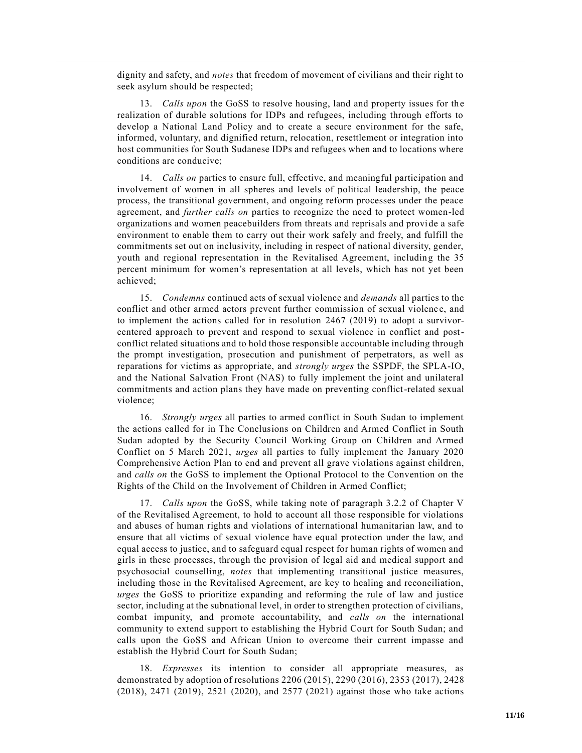dignity and safety, and *notes* that freedom of movement of civilians and their right to seek asylum should be respected;

13. *Calls upon* the GoSS to resolve housing, land and property issues for the realization of durable solutions for IDPs and refugees, including through efforts to develop a National Land Policy and to create a secure environment for the safe, informed, voluntary, and dignified return, relocation, resettlement or integration into host communities for South Sudanese IDPs and refugees when and to locations where conditions are conducive;

14. *Calls on* parties to ensure full, effective, and meaningful participation and involvement of women in all spheres and levels of political leadership, the peace process, the transitional government, and ongoing reform processes under the peace agreement, and *further calls on* parties to recognize the need to protect women-led organizations and women peacebuilders from threats and reprisals and provide a safe environment to enable them to carry out their work safely and freely, and fulfill the commitments set out on inclusivity, including in respect of national diversity, gender, youth and regional representation in the Revitalised Agreement, including the 35 percent minimum for women's representation at all levels, which has not yet been achieved;

15. *Condemns* continued acts of sexual violence and *demands* all parties to the conflict and other armed actors prevent further commission of sexual violenc e, and to implement the actions called for in resolution [2467 \(2019\)](https://undocs.org/en/S/RES/2467(2019)) to adopt a survivorcentered approach to prevent and respond to sexual violence in conflict and postconflict related situations and to hold those responsible accountable including through the prompt investigation, prosecution and punishment of perpetrators, as well as reparations for victims as appropriate, and *strongly urges* the SSPDF, the SPLA-IO, and the National Salvation Front (NAS) to fully implement the joint and unilateral commitments and action plans they have made on preventing conflict-related sexual violence;

16. *Strongly urges* all parties to armed conflict in South Sudan to implement the actions called for in The Conclusions on Children and Armed Conflict in South Sudan adopted by the Security Council Working Group on Children and Armed Conflict on 5 March 2021, *urges* all parties to fully implement the January 2020 Comprehensive Action Plan to end and prevent all grave violations against children, and *calls on* the GoSS to implement the Optional Protocol to the Convention on the Rights of the Child on the Involvement of Children in Armed Conflict;

17. *Calls upon* the GoSS, while taking note of paragraph 3.2.2 of Chapter V of the Revitalised Agreement, to hold to account all those responsible for violations and abuses of human rights and violations of international humanitarian law, and to ensure that all victims of sexual violence have equal protection under the law, and equal access to justice, and to safeguard equal respect for human rights of women and girls in these processes, through the provision of legal aid and medical support and psychosocial counselling, *notes* that implementing transitional justice measures, including those in the Revitalised Agreement, are key to healing and reconciliation, *urges* the GoSS to prioritize expanding and reforming the rule of law and justice sector, including at the subnational level, in order to strengthen protection of civilians, combat impunity, and promote accountability, and *calls on* the international community to extend support to establishing the Hybrid Court for South Sudan; and calls upon the GoSS and African Union to overcome their current impasse and establish the Hybrid Court for South Sudan;

18. *Expresses* its intention to consider all appropriate measures, as demonstrated by adoption of resolutions [2206 \(2015\),](https://undocs.org/en/S/RES/2206(2015)) [2290 \(2016\),](https://undocs.org/en/S/RES/2290(2016)) [2353 \(2017\),](https://undocs.org/en/S/RES/2353(2017)) [2428](https://undocs.org/en/S/RES/2428(2018))  [\(2018\),](https://undocs.org/en/S/RES/2428(2018)) [2471 \(2019\),](https://undocs.org/en/S/RES/2471(2019)) [2521 \(2020\),](https://undocs.org/en/S/RES/2521(2020)) and [2577 \(2021\)](https://undocs.org/en/S/RES/2577(2021)) against those who take actions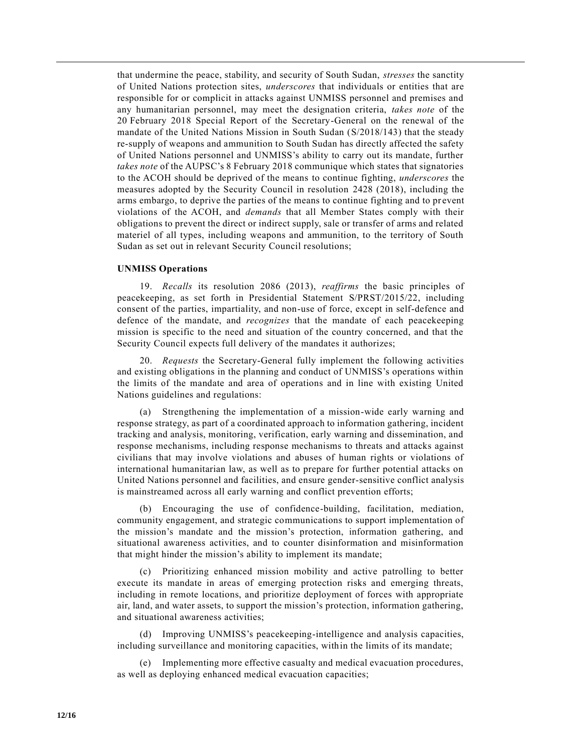that undermine the peace, stability, and security of South Sudan, *stresses* the sanctity of United Nations protection sites, *underscores* that individuals or entities that are responsible for or complicit in attacks against UNMISS personnel and premises and any humanitarian personnel, may meet the designation criteria, *takes note* of the 20 February 2018 Special Report of the Secretary-General on the renewal of the mandate of the United Nations Mission in South Sudan [\(S/2018/143\)](https://undocs.org/en/S/2018/143) that the steady re-supply of weapons and ammunition to South Sudan has directly affected the safety of United Nations personnel and UNMISS's ability to carry out its mandate, further *takes note* of the AUPSC's 8 February 2018 communique which states that signatories to the ACOH should be deprived of the means to continue fighting, *underscores* the measures adopted by the Security Council in resolution [2428 \(2018\),](https://undocs.org/en/S/RES/2428(2018)) including the arms embargo, to deprive the parties of the means to continue fighting and to prevent violations of the ACOH, and *demands* that all Member States comply with their obligations to prevent the direct or indirect supply, sale or transfer of arms and related materiel of all types, including weapons and ammunition, to the territory of South Sudan as set out in relevant Security Council resolutions;

### **UNMISS Operations**

19. *Recalls* its resolution [2086 \(2013\),](https://undocs.org/en/S/RES/2086(2013)) *reaffirms* the basic principles of peacekeeping, as set forth in Presidential Statement [S/PRST/2015/22,](https://undocs.org/en/S/PRST/2015/22) including consent of the parties, impartiality, and non-use of force, except in self-defence and defence of the mandate, and *recognizes* that the mandate of each peacekeeping mission is specific to the need and situation of the country concerned, and that the Security Council expects full delivery of the mandates it authorizes;

20. *Requests* the Secretary-General fully implement the following activities and existing obligations in the planning and conduct of UNMISS's operations within the limits of the mandate and area of operations and in line with existing United Nations guidelines and regulations:

(a) Strengthening the implementation of a mission-wide early warning and response strategy, as part of a coordinated approach to information gathering, incident tracking and analysis, monitoring, verification, early warning and dissemination, and response mechanisms, including response mechanisms to threats and attacks against civilians that may involve violations and abuses of human rights or violations of international humanitarian law, as well as to prepare for further potential attacks on United Nations personnel and facilities, and ensure gender-sensitive conflict analysis is mainstreamed across all early warning and conflict prevention efforts;

(b) Encouraging the use of confidence-building, facilitation, mediation, community engagement, and strategic communications to support implementation of the mission's mandate and the mission's protection, information gathering, and situational awareness activities, and to counter disinformation and misinformation that might hinder the mission's ability to implement its mandate;

(c) Prioritizing enhanced mission mobility and active patrolling to better execute its mandate in areas of emerging protection risks and emerging threats, including in remote locations, and prioritize deployment of forces with appropriate air, land, and water assets, to support the mission's protection, information gathering, and situational awareness activities;

(d) Improving UNMISS's peacekeeping-intelligence and analysis capacities, including surveillance and monitoring capacities, within the limits of its mandate;

(e) Implementing more effective casualty and medical evacuation procedures, as well as deploying enhanced medical evacuation capacities;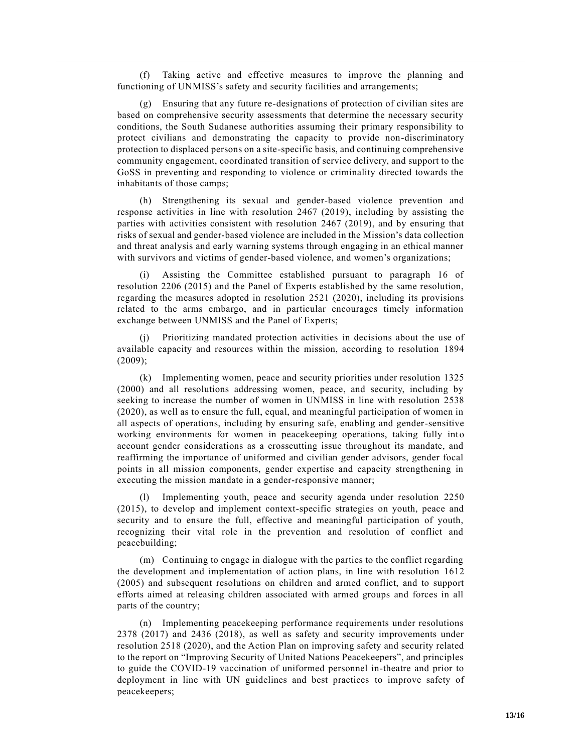(f) Taking active and effective measures to improve the planning and functioning of UNMISS's safety and security facilities and arrangements;

(g) Ensuring that any future re-designations of protection of civilian sites are based on comprehensive security assessments that determine the necessary security conditions, the South Sudanese authorities assuming their primary responsibility to protect civilians and demonstrating the capacity to provide non-discriminatory protection to displaced persons on a site-specific basis, and continuing comprehensive community engagement, coordinated transition of service delivery, and support to the GoSS in preventing and responding to violence or criminality directed towards the inhabitants of those camps;

(h) Strengthening its sexual and gender-based violence prevention and response activities in line with resolution [2467 \(2019\),](https://undocs.org/en/S/RES/2467(2019)) including by assisting the parties with activities consistent with resolution [2467 \(2019\),](https://undocs.org/en/S/RES/2467(2019)) and by ensuring that risks of sexual and gender-based violence are included in the Mission's data collection and threat analysis and early warning systems through engaging in an ethical manner with survivors and victims of gender-based violence, and women's organizations;

Assisting the Committee established pursuant to paragraph 16 of resolution [2206 \(2015\)](https://undocs.org/en/S/RES/2206(2015)) and the Panel of Experts established by the same resolution, regarding the measures adopted in resolution [2521 \(2020\),](https://undocs.org/en/S/RES/2521(2020)) including its provisions related to the arms embargo, and in particular encourages timely information exchange between UNMISS and the Panel of Experts;

Prioritizing mandated protection activities in decisions about the use of available capacity and resources within the mission, according to resolution [1894](https://undocs.org/en/S/RES/1894(2009))  [\(2009\);](https://undocs.org/en/S/RES/1894(2009))

(k) Implementing women, peace and security priorities under resolution [1325](https://undocs.org/en/S/RES/1325(2000))  [\(2000\)](https://undocs.org/en/S/RES/1325(2000)) and all resolutions addressing women, peace, and security, including by seeking to increase the number of women in UNMISS in line with resolution [2538](https://undocs.org/en/S/RES/2538(2020))  [\(2020\),](https://undocs.org/en/S/RES/2538(2020)) as well as to ensure the full, equal, and meaningful participation of women in all aspects of operations, including by ensuring safe, enabling and gender-sensitive working environments for women in peacekeeping operations, taking fully into account gender considerations as a crosscutting issue throughout its mandate, and reaffirming the importance of uniformed and civilian gender advisors, gender focal points in all mission components, gender expertise and capacity strengthening in executing the mission mandate in a gender-responsive manner;

(l) Implementing youth, peace and security agenda under resolution [2250](https://undocs.org/en/S/RES/2250(2015))  [\(2015\),](https://undocs.org/en/S/RES/2250(2015)) to develop and implement context-specific strategies on youth, peace and security and to ensure the full, effective and meaningful participation of youth, recognizing their vital role in the prevention and resolution of conflict and peacebuilding;

(m) Continuing to engage in dialogue with the parties to the conflict regarding the development and implementation of action plans, in line with resolution [1612](https://undocs.org/en/S/RES/1612(2005))  [\(2005\)](https://undocs.org/en/S/RES/1612(2005)) and subsequent resolutions on children and armed conflict, and to support efforts aimed at releasing children associated with armed groups and forces in all parts of the country;

(n) Implementing peacekeeping performance requirements under resolutions [2378 \(2017\)](https://undocs.org/en/S/RES/2378(2017)) and [2436 \(2018\),](https://undocs.org/en/S/RES/2436(2018)) as well as safety and security improvements under resolution [2518 \(2020\),](https://undocs.org/en/S/RES/2518(2020)) and the Action Plan on improving safety and security related to the report on "Improving Security of United Nations Peacekeepers", and principles to guide the COVID-19 vaccination of uniformed personnel in-theatre and prior to deployment in line with UN guidelines and best practices to improve safety of peacekeepers;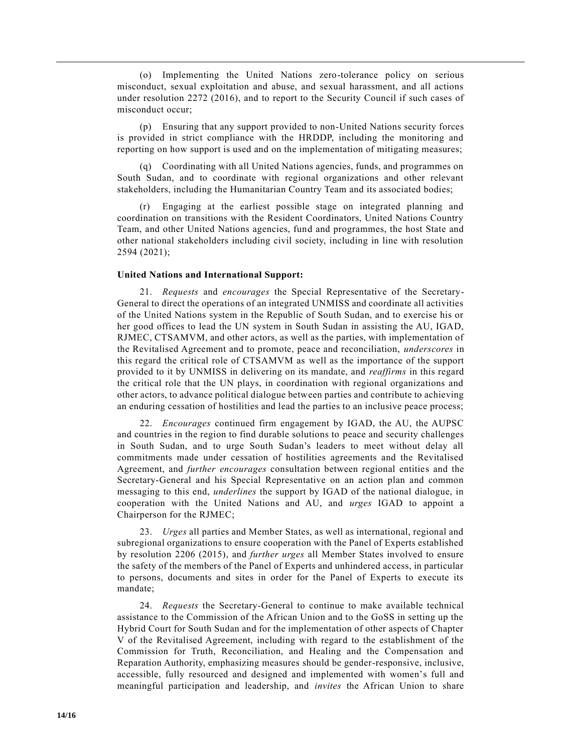(o) Implementing the United Nations zero-tolerance policy on serious misconduct, sexual exploitation and abuse, and sexual harassment, and all actions under resolution [2272 \(2016\),](https://undocs.org/en/S/RES/2272(2016)) and to report to the Security Council if such cases of misconduct occur;

(p) Ensuring that any support provided to non-United Nations security forces is provided in strict compliance with the HRDDP, including the monitoring and reporting on how support is used and on the implementation of mitigating measures;

(q) Coordinating with all United Nations agencies, funds, and programmes on South Sudan, and to coordinate with regional organizations and other relevant stakeholders, including the Humanitarian Country Team and its associated bodies;

(r) Engaging at the earliest possible stage on integrated planning and coordination on transitions with the Resident Coordinators, United Nations Country Team, and other United Nations agencies, fund and programmes, the host State and other national stakeholders including civil society, including in line with resolution [2594 \(2021\);](https://undocs.org/en/S/RES/2594(2021))

#### **United Nations and International Support:**

21. *Requests* and *encourages* the Special Representative of the Secretary-General to direct the operations of an integrated UNMISS and coordinate all activities of the United Nations system in the Republic of South Sudan, and to exercise his or her good offices to lead the UN system in South Sudan in assisting the AU, IGAD, RJMEC, CTSAMVM, and other actors, as well as the parties, with implementation of the Revitalised Agreement and to promote, peace and reconciliation, *underscores* in this regard the critical role of CTSAMVM as well as the importance of the support provided to it by UNMISS in delivering on its mandate, and *reaffirms* in this regard the critical role that the UN plays, in coordination with regional organizations and other actors, to advance political dialogue between parties and contribute to achieving an enduring cessation of hostilities and lead the parties to an inclusive peace process;

22. *Encourages* continued firm engagement by IGAD, the AU, the AUPSC and countries in the region to find durable solutions to peace and security challenges in South Sudan, and to urge South Sudan's leaders to meet without delay all commitments made under cessation of hostilities agreements and the Revitalised Agreement, and *further encourages* consultation between regional entities and the Secretary-General and his Special Representative on an action plan and common messaging to this end, *underlines* the support by IGAD of the national dialogue, in cooperation with the United Nations and AU, and *urges* IGAD to appoint a Chairperson for the RJMEC;

23. *Urges* all parties and Member States, as well as international, regional and subregional organizations to ensure cooperation with the Panel of Experts established by resolution [2206 \(2015\),](https://undocs.org/en/S/RES/2206(2015)) and *further urges* all Member States involved to ensure the safety of the members of the Panel of Experts and unhindered access, in particular to persons, documents and sites in order for the Panel of Experts to execute its mandate;

24. *Requests* the Secretary-General to continue to make available technical assistance to the Commission of the African Union and to the GoSS in setting up the Hybrid Court for South Sudan and for the implementation of other aspects of Chapter V of the Revitalised Agreement, including with regard to the establishment of the Commission for Truth, Reconciliation, and Healing and the Compensation and Reparation Authority, emphasizing measures should be gender-responsive, inclusive, accessible, fully resourced and designed and implemented with women's full and meaningful participation and leadership, and *invites* the African Union to share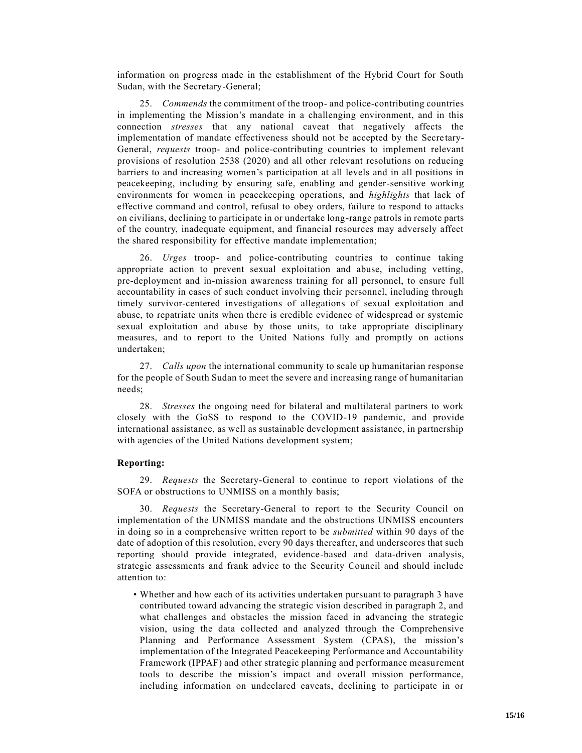information on progress made in the establishment of the Hybrid Court for South Sudan, with the Secretary-General;

25. *Commends* the commitment of the troop- and police-contributing countries in implementing the Mission's mandate in a challenging environment, and in this connection *stresses* that any national caveat that negatively affects the implementation of mandate effectiveness should not be accepted by the Secre tary-General, *requests* troop- and police-contributing countries to implement relevant provisions of resolution [2538 \(2020\)](https://undocs.org/en/S/RES/2538(2020)) and all other relevant resolutions on reducing barriers to and increasing women's participation at all levels and in all positions in peacekeeping, including by ensuring safe, enabling and gender-sensitive working environments for women in peacekeeping operations, and *highlights* that lack of effective command and control, refusal to obey orders, failure to respond to attacks on civilians, declining to participate in or undertake long-range patrols in remote parts of the country, inadequate equipment, and financial resources may adversely affect the shared responsibility for effective mandate implementation;

26. *Urges* troop- and police-contributing countries to continue taking appropriate action to prevent sexual exploitation and abuse, including vetting, pre-deployment and in-mission awareness training for all personnel, to ensure full accountability in cases of such conduct involving their personnel, including through timely survivor-centered investigations of allegations of sexual exploitation and abuse, to repatriate units when there is credible evidence of widespread or systemic sexual exploitation and abuse by those units, to take appropriate disciplinary measures, and to report to the United Nations fully and promptly on actions undertaken;

27. *Calls upon* the international community to scale up humanitarian response for the people of South Sudan to meet the severe and increasing range of humanitarian needs;

28. *Stresses* the ongoing need for bilateral and multilateral partners to work closely with the GoSS to respond to the COVID-19 pandemic, and provide international assistance, as well as sustainable development assistance, in partnership with agencies of the United Nations development system;

#### **Reporting:**

29. *Requests* the Secretary-General to continue to report violations of the SOFA or obstructions to UNMISS on a monthly basis;

30. *Requests* the Secretary-General to report to the Security Council on implementation of the UNMISS mandate and the obstructions UNMISS encounters in doing so in a comprehensive written report to be *submitted* within 90 days of the date of adoption of this resolution, every 90 days thereafter, and underscores that such reporting should provide integrated, evidence-based and data-driven analysis, strategic assessments and frank advice to the Security Council and should include attention to:

• Whether and how each of its activities undertaken pursuant to paragraph 3 have contributed toward advancing the strategic vision described in paragraph 2, and what challenges and obstacles the mission faced in advancing the strategic vision, using the data collected and analyzed through the Comprehensive Planning and Performance Assessment System (CPAS), the mission's implementation of the Integrated Peacekeeping Performance and Accountability Framework (IPPAF) and other strategic planning and performance measurement tools to describe the mission's impact and overall mission performance, including information on undeclared caveats, declining to participate in or